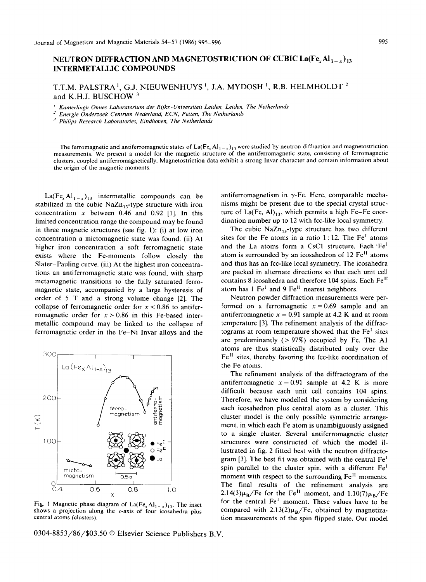## **NEUTRON DIFFRACTION AND MAGNETOSTRICTION OF CUBIC La(Fe, Al<sub>1 - x</sub>)<sub>13</sub>** INTERMETALLIC COMPOUNDS

T.T.M. PALSTRA<sup>1</sup>, G.J. NIEUWENHUYS<sup>1</sup>, J.A. MYDOSH<sup>1</sup>, R.B. HELMHOLDT<sup>2</sup> and K.H.J. BUSCHOW <sup>3</sup>

*I Kamerlingh Onnes Laboratorium der Rijks-Unioersiteit Leiden, Leiden, The Netherlands* 

*-" Energie Onderzoek Centrum Nederland, ECN, Petten, The Netherlands* 

*J Philips Research Laboratories, Eindhoven, The Netherlands* 

The ferromagnetic and antiferromagnetic states of  $La(Fe<sub>x</sub> Al<sub>1-x</sub>)<sub>13</sub>$  were studied by neutron diffraction and magnetostriction measurements. We present a model for the magnetic structure of the antiferromagnetic state, consisting of ferromagnetic clusters, coupled antiferromagnetically. Magnetostriction data exhibit a strong Invar character and contain information about the origin of the magnetic moments.

 $La(Fe<sub>x</sub>Al<sub>1-x</sub>)<sub>13</sub>$  intermetallic compounds can be stabilized in the cubic  $NaZn_{13}$ -type structure with iron concentration  $x$  between 0.46 and 0.92 [1]. In this limited concentration range the compound may be found in three magnetic structures (see fig. 1): (i) at low iron concentration a mictomagnetic state was found. (ii) At higher iron concentration a soft ferromagnetic state exists where the Fe-moments follow closely the Slater-Pauling curve. (iii) At the highest iron concentrations an antiferromagnetic state was found, with sharp metamagnetic transitions to the fully saturated ferromagnetic state, accompanied by a large hysteresis of order of 5 T and a strong volume change [2]. The collapse of ferromagnetic order for  $x < 0.86$  to antiferromagnetic order for  $x > 0.86$  in this Fe-based intermetallic compound may be linked to the collapse of ferromagnetic order in the Fe-Ni Invar alloys and the



Fig. 1 Magnetic phase diagram of  $La(Fe<sub>x</sub>Al<sub>1-x</sub>)<sub>13</sub>$ . The inset shows a projection along the c-axis of four icosahedra plus central atoms (clusters).

0304-8853/86/\$03.50 © Elsevier Science Publishers B.V.

antiferromagnetism in  $\gamma$ -Fe. Here, comparable mechanisms might be present due to the special crystal structure of La(Fe, Al) $_{13}$ , which permits a high Fe-Fe coordination number up to 12 with fcc-like local symmetry.

The cubic  $NaZn_{12}$ -type structure has two different sites for the Fe atoms in a ratio  $1:12$ . The Fe<sup>I</sup> atoms and the La atoms form a CsC1 structure. Each  $Fe<sup>T</sup>$ atom is surrounded by an icosahedron of 12 Fe<sup>II</sup> atoms and thus has an fcc-like local symmetry. The icosahedra are packed in alternate directions so that each unit cell contains 8 icosahedra and therefore 104 spins. Each Fe<sup>II</sup> atom has  $1 \text{Fe}^1$  and  $9 \text{Fe}^{11}$  nearest neighbors.

Neutron powder diffraction measurements were performed on a ferromagnetic  $x = 0.69$  sample and an antiferromagnetic  $x = 0.91$  sample at 4.2 K and at room temperature [3]. The refinement analysis of the diffractograms at room temperature showed that the  $Fe<sup>I</sup>$  sites are predominantly  $( > 97\%)$  occupied by Fe. The A1 atoms are thus statistically distributed only over the Fe II sites, thereby favoring the fcc-like coordination of the Fe atoms.

The refinement analysis of the diffractogram of the antiferromagnetic  $x = 0.91$  sample at 4.2 K is more difficult because each unit cell contains 104 spins. Therefore, we have modelled the system by considering each icosahedron plus central atom as a cluster. This cluster model is the only possible symmetric arrangement, in which each Fe atom is unambiguously assigned to a single cluster. Several antiferromagnetic cluster structures were constructed of which the model illustrated in fig. 2 fitted best with the neutron diffractogram [3]. The best fit was obtained with the central  $Fe<sup>I</sup>$ spin parallel to the cluster spin, with a different Fe<sup>1</sup> moment with respect to the surrounding Fe<sup>II</sup> moments. The final results of the refinement analysis are 2.14(3) $\mu_B$ /Fe for the Fe<sup>II</sup> moment, and 1.10(7) $\mu_B$ /Fe for the central Fe<sup>1</sup> moment. These values have to be compared with  $2.13(2)\mu_B/Fe$ , obtained by magnetization measurements of the spin flipped state. Our model